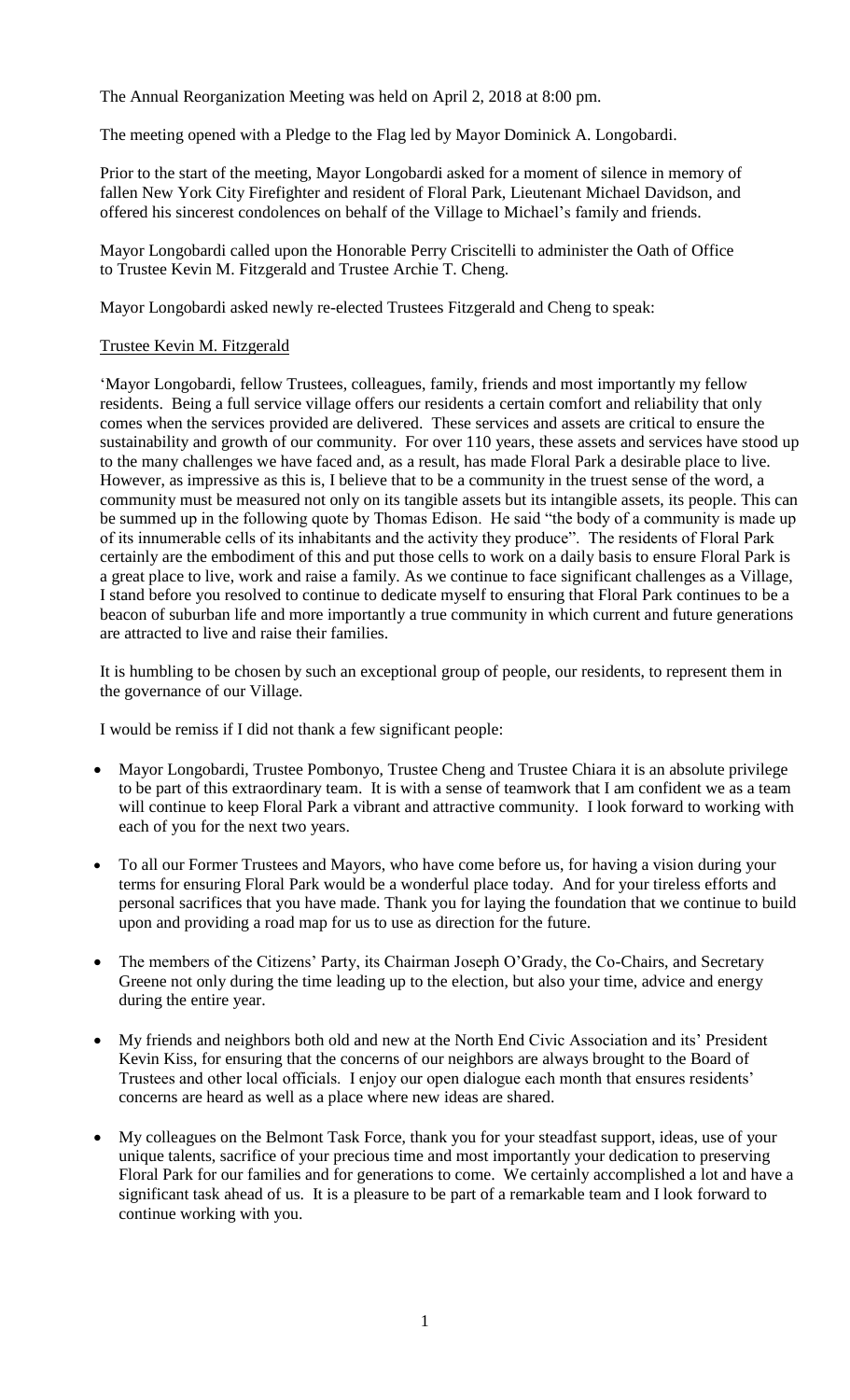The Annual Reorganization Meeting was held on April 2, 2018 at 8:00 pm.

The meeting opened with a Pledge to the Flag led by Mayor Dominick A. Longobardi.

Prior to the start of the meeting, Mayor Longobardi asked for a moment of silence in memory of fallen New York City Firefighter and resident of Floral Park, Lieutenant Michael Davidson, and offered his sincerest condolences on behalf of the Village to Michael's family and friends.

Mayor Longobardi called upon the Honorable Perry Criscitelli to administer the Oath of Office to Trustee Kevin M. Fitzgerald and Trustee Archie T. Cheng.

Mayor Longobardi asked newly re-elected Trustees Fitzgerald and Cheng to speak:

## Trustee Kevin M. Fitzgerald

'Mayor Longobardi, fellow Trustees, colleagues, family, friends and most importantly my fellow residents. Being a full service village offers our residents a certain comfort and reliability that only comes when the services provided are delivered. These services and assets are critical to ensure the sustainability and growth of our community. For over 110 years, these assets and services have stood up to the many challenges we have faced and, as a result, has made Floral Park a desirable place to live. However, as impressive as this is, I believe that to be a community in the truest sense of the word, a community must be measured not only on its tangible assets but its intangible assets, its people. This can be summed up in the following quote by Thomas Edison. He said "the body of a community is made up of its innumerable cells of its inhabitants and the activity they produce". The residents of Floral Park certainly are the embodiment of this and put those cells to work on a daily basis to ensure Floral Park is a great place to live, work and raise a family. As we continue to face significant challenges as a Village, I stand before you resolved to continue to dedicate myself to ensuring that Floral Park continues to be a beacon of suburban life and more importantly a true community in which current and future generations are attracted to live and raise their families.

It is humbling to be chosen by such an exceptional group of people, our residents, to represent them in the governance of our Village.

I would be remiss if I did not thank a few significant people:

- Mayor Longobardi, Trustee Pombonyo, Trustee Cheng and Trustee Chiara it is an absolute privilege to be part of this extraordinary team. It is with a sense of teamwork that I am confident we as a team will continue to keep Floral Park a vibrant and attractive community. I look forward to working with each of you for the next two years.
- To all our Former Trustees and Mayors, who have come before us, for having a vision during your terms for ensuring Floral Park would be a wonderful place today. And for your tireless efforts and personal sacrifices that you have made. Thank you for laying the foundation that we continue to build upon and providing a road map for us to use as direction for the future.
- The members of the Citizens' Party, its Chairman Joseph O'Grady, the Co-Chairs, and Secretary Greene not only during the time leading up to the election, but also your time, advice and energy during the entire year.
- My friends and neighbors both old and new at the North End Civic Association and its' President Kevin Kiss, for ensuring that the concerns of our neighbors are always brought to the Board of Trustees and other local officials. I enjoy our open dialogue each month that ensures residents' concerns are heard as well as a place where new ideas are shared.
- My colleagues on the Belmont Task Force, thank you for your steadfast support, ideas, use of your unique talents, sacrifice of your precious time and most importantly your dedication to preserving Floral Park for our families and for generations to come. We certainly accomplished a lot and have a significant task ahead of us. It is a pleasure to be part of a remarkable team and I look forward to continue working with you.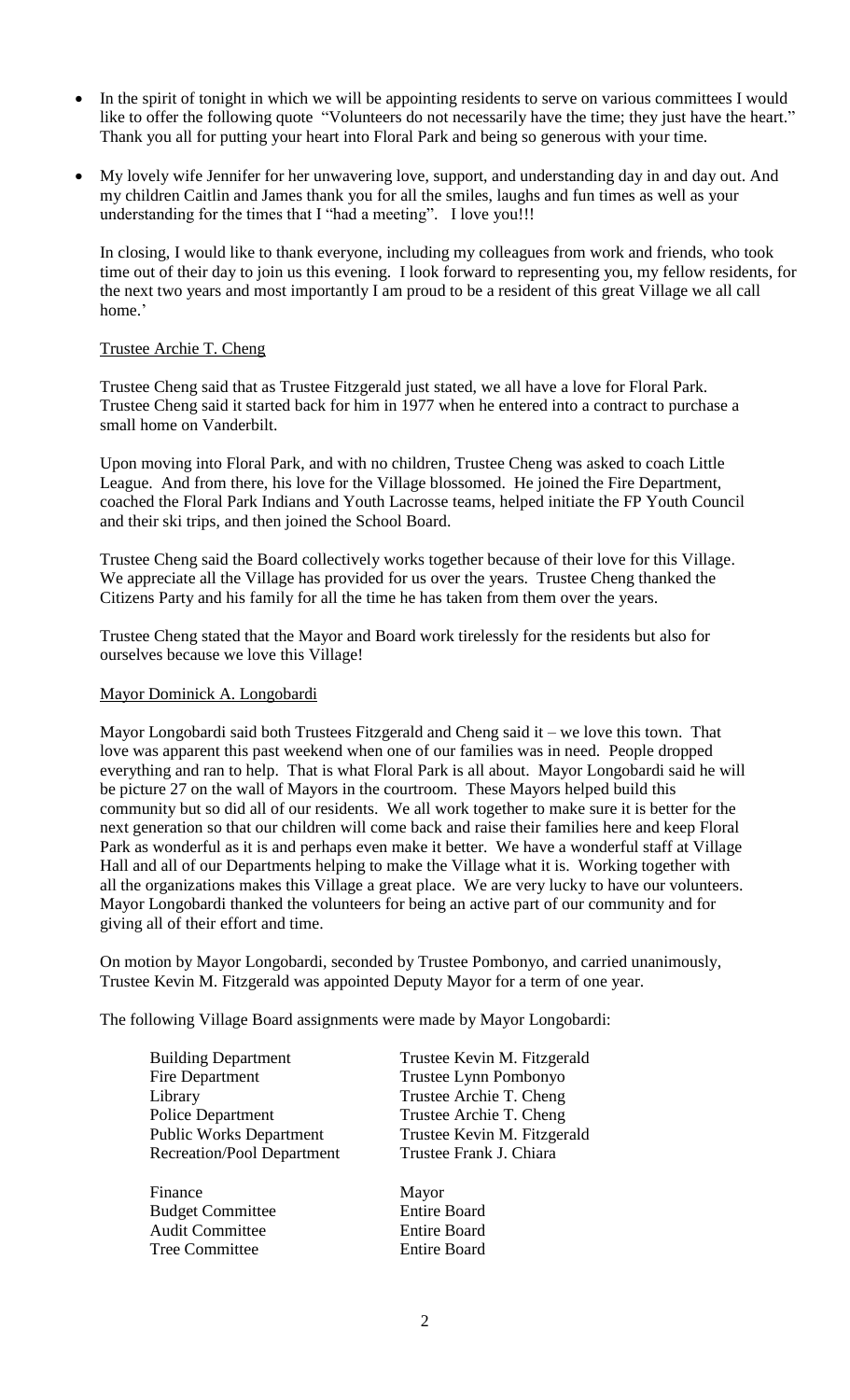- In the spirit of tonight in which we will be appointing residents to serve on various committees I would like to offer the following quote ["Volunteers do not necessarily have the time; they just have the heart."](http://ctt.ec/ou5eU) Thank you all for putting your heart into Floral Park and being so generous with your time.
- My lovely wife Jennifer for her unwavering love, support, and understanding day in and day out. And my children Caitlin and James thank you for all the smiles, laughs and fun times as well as your understanding for the times that I "had a meeting". I love you!!!

In closing, I would like to thank everyone, including my colleagues from work and friends, who took time out of their day to join us this evening. I look forward to representing you, my fellow residents, for the next two years and most importantly I am proud to be a resident of this great Village we all call home.'

## Trustee Archie T. Cheng

Trustee Cheng said that as Trustee Fitzgerald just stated, we all have a love for Floral Park. Trustee Cheng said it started back for him in 1977 when he entered into a contract to purchase a small home on Vanderbilt.

Upon moving into Floral Park, and with no children, Trustee Cheng was asked to coach Little League. And from there, his love for the Village blossomed. He joined the Fire Department, coached the Floral Park Indians and Youth Lacrosse teams, helped initiate the FP Youth Council and their ski trips, and then joined the School Board.

Trustee Cheng said the Board collectively works together because of their love for this Village. We appreciate all the Village has provided for us over the years. Trustee Cheng thanked the Citizens Party and his family for all the time he has taken from them over the years.

Trustee Cheng stated that the Mayor and Board work tirelessly for the residents but also for ourselves because we love this Village!

## Mayor Dominick A. Longobardi

Mayor Longobardi said both Trustees Fitzgerald and Cheng said it – we love this town. That love was apparent this past weekend when one of our families was in need. People dropped everything and ran to help. That is what Floral Park is all about. Mayor Longobardi said he will be picture 27 on the wall of Mayors in the courtroom. These Mayors helped build this community but so did all of our residents. We all work together to make sure it is better for the next generation so that our children will come back and raise their families here and keep Floral Park as wonderful as it is and perhaps even make it better. We have a wonderful staff at Village Hall and all of our Departments helping to make the Village what it is. Working together with all the organizations makes this Village a great place. We are very lucky to have our volunteers. Mayor Longobardi thanked the volunteers for being an active part of our community and for giving all of their effort and time.

On motion by Mayor Longobardi, seconded by Trustee Pombonyo, and carried unanimously, Trustee Kevin M. Fitzgerald was appointed Deputy Mayor for a term of one year.

The following Village Board assignments were made by Mayor Longobardi:

| <b>Building Department</b>        | Trustee Kevin M. Fitzgerald |
|-----------------------------------|-----------------------------|
| <b>Fire Department</b>            | Trustee Lynn Pombonyo       |
| Library                           | Trustee Archie T. Cheng     |
| <b>Police Department</b>          | Trustee Archie T. Cheng     |
| <b>Public Works Department</b>    | Trustee Kevin M. Fitzgerald |
| <b>Recreation/Pool Department</b> | Trustee Frank J. Chiara     |
| Finance                           | Mayor                       |
| <b>Budget Committee</b>           | <b>Entire Board</b>         |

Audit Committee Entire Board Tree Committee Entire Board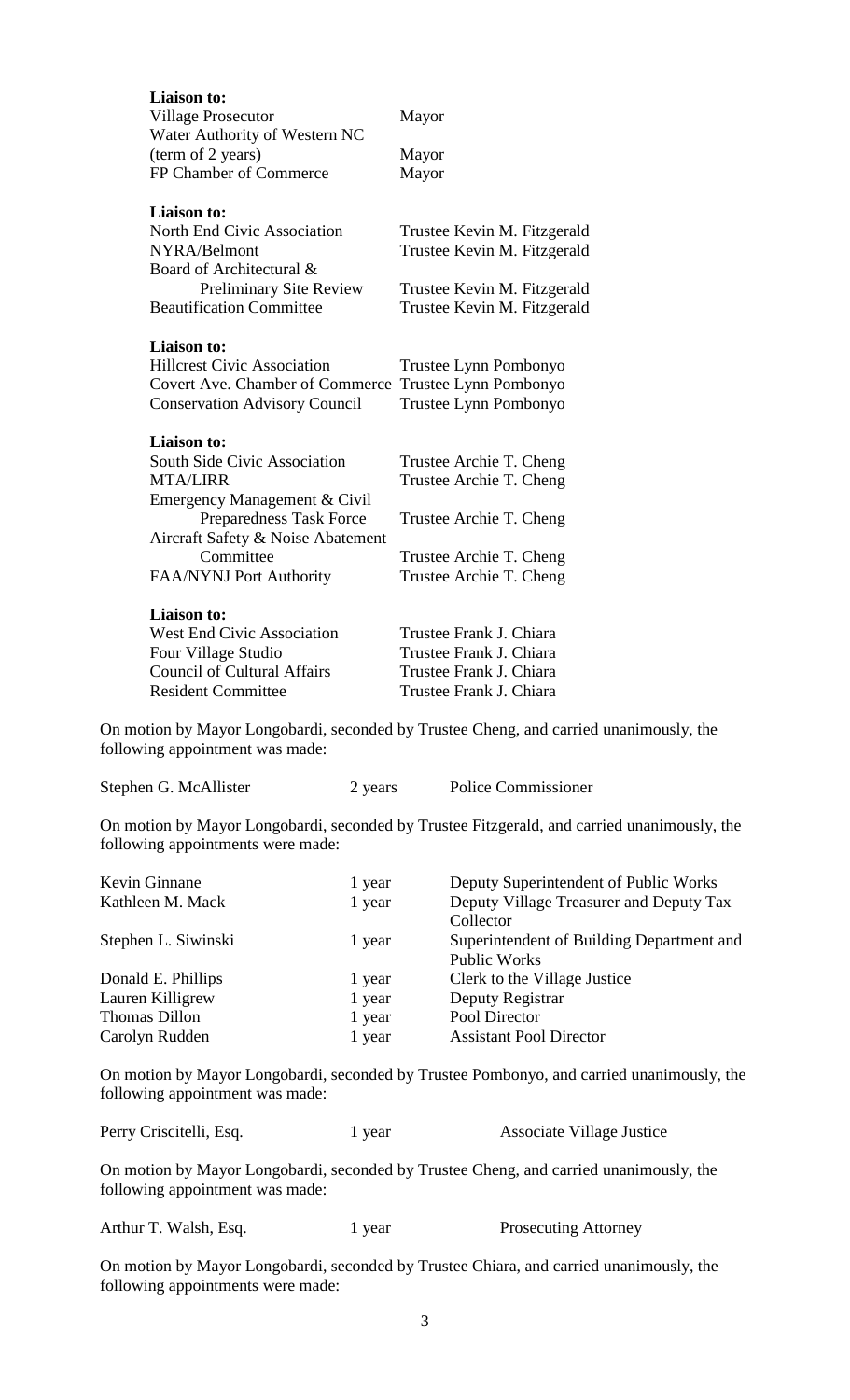| <b>Liaison to:</b><br><b>Village Prosecutor</b><br>Water Authority of Western NC | Mayor                       |
|----------------------------------------------------------------------------------|-----------------------------|
| (term of 2 years)                                                                | Mayor                       |
| FP Chamber of Commerce                                                           | Mayor                       |
| <b>Liaison to:</b>                                                               |                             |
| North End Civic Association                                                      | Trustee Kevin M. Fitzgerald |
| NYRA/Belmont                                                                     | Trustee Kevin M. Fitzgerald |
| Board of Architectural &                                                         |                             |
| <b>Preliminary Site Review</b>                                                   | Trustee Kevin M. Fitzgerald |
| <b>Beautification Committee</b>                                                  | Trustee Kevin M. Fitzgerald |
| <b>Liaison to:</b>                                                               |                             |
| <b>Hillcrest Civic Association</b>                                               | Trustee Lynn Pombonyo       |
| <b>Covert Ave. Chamber of Commerce</b>                                           | Trustee Lynn Pombonyo       |
| <b>Conservation Advisory Council</b>                                             | Trustee Lynn Pombonyo       |
| <b>Liaison to:</b>                                                               |                             |
| South Side Civic Association                                                     | Trustee Archie T. Cheng     |
| <b>MTA/LIRR</b>                                                                  | Trustee Archie T. Cheng     |
| Emergency Management & Civil                                                     |                             |
| Preparedness Task Force                                                          | Trustee Archie T. Cheng     |
| Aircraft Safety & Noise Abatement                                                |                             |
| Committee                                                                        | Trustee Archie T. Cheng     |
| FAA/NYNJ Port Authority                                                          | Trustee Archie T. Cheng     |
| <b>Liaison to:</b>                                                               |                             |
| <b>West End Civic Association</b>                                                | Trustee Frank J. Chiara     |
| Four Village Studio                                                              | Trustee Frank J. Chiara     |
| <b>Council of Cultural Affairs</b>                                               | Trustee Frank J. Chiara     |
| <b>Resident Committee</b>                                                        | Trustee Frank J. Chiara     |
|                                                                                  |                             |

On motion by Mayor Longobardi, seconded by Trustee Cheng, and carried unanimously, the following appointment was made:

| Stephen G. McAllister | 2 years | Police Commissioner |
|-----------------------|---------|---------------------|
|-----------------------|---------|---------------------|

On motion by Mayor Longobardi, seconded by Trustee Fitzgerald, and carried unanimously, the following appointments were made:

| Kevin Ginnane       | 1 year | Deputy Superintendent of Public Works     |
|---------------------|--------|-------------------------------------------|
| Kathleen M. Mack    | 1 year | Deputy Village Treasurer and Deputy Tax   |
|                     |        | Collector                                 |
| Stephen L. Siwinski | 1 year | Superintendent of Building Department and |
|                     |        | <b>Public Works</b>                       |
| Donald E. Phillips  | 1 year | Clerk to the Village Justice              |
| Lauren Killigrew    | 1 year | Deputy Registrar                          |
| Thomas Dillon       | 1 year | Pool Director                             |
| Carolyn Rudden      | 1 year | <b>Assistant Pool Director</b>            |
|                     |        |                                           |

On motion by Mayor Longobardi, seconded by Trustee Pombonyo, and carried unanimously, the following appointment was made:

| Perry Criscitelli, Esq. | 1 year | <b>Associate Village Justice</b> |
|-------------------------|--------|----------------------------------|
|                         |        |                                  |

On motion by Mayor Longobardi, seconded by Trustee Cheng, and carried unanimously, the following appointment was made:

|  |  | Arthur T. Walsh, Esq. |  |
|--|--|-----------------------|--|
|--|--|-----------------------|--|

1 year Prosecuting Attorney

On motion by Mayor Longobardi, seconded by Trustee Chiara, and carried unanimously, the following appointments were made: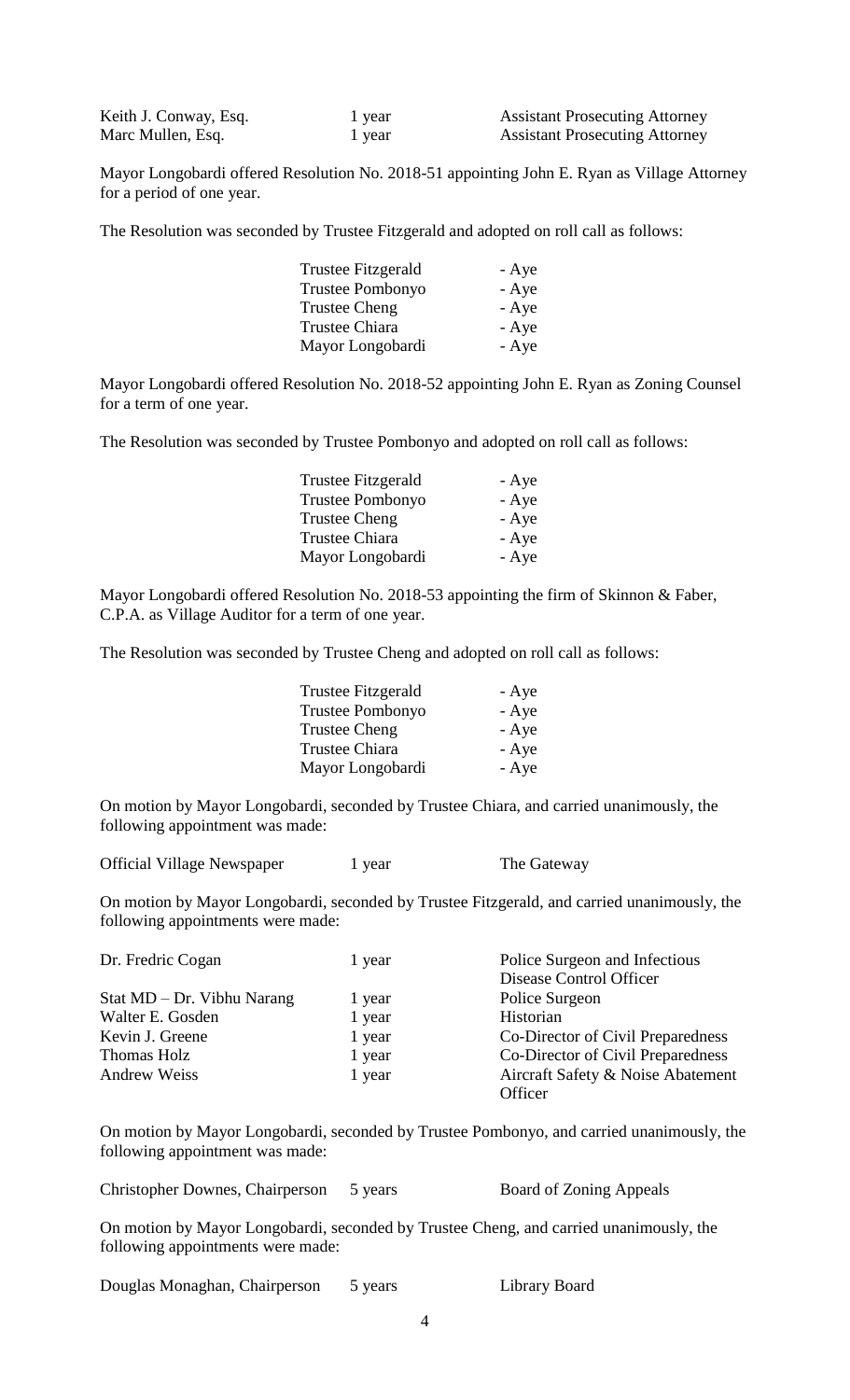| Keith J. Conway, Esq. | 1 year | <b>Assistant Prosecuting Attorney</b> |
|-----------------------|--------|---------------------------------------|
| Marc Mullen, Esq.     | 1 year | <b>Assistant Prosecuting Attorney</b> |

Mayor Longobardi offered Resolution No. 2018-51 appointing John E. Ryan as Village Attorney for a period of one year.

The Resolution was seconded by Trustee Fitzgerald and adopted on roll call as follows:

| Trustee Fitzgerald | - Aye |
|--------------------|-------|
| Trustee Pombonyo   | - Aye |
| Trustee Cheng      | - Aye |
| Trustee Chiara     | - Aye |
| Mayor Longobardi   | - Aye |

Mayor Longobardi offered Resolution No. 2018-52 appointing John E. Ryan as Zoning Counsel for a term of one year.

The Resolution was seconded by Trustee Pombonyo and adopted on roll call as follows:

| <b>Trustee Fitzgerald</b> | - Aye |
|---------------------------|-------|
| Trustee Pombonyo          | - Aye |
| <b>Trustee Cheng</b>      | - Aye |
| Trustee Chiara            | - Aye |
| Mayor Longobardi          | - Aye |

Mayor Longobardi offered Resolution No. 2018-53 appointing the firm of Skinnon & Faber, C.P.A. as Village Auditor for a term of one year.

The Resolution was seconded by Trustee Cheng and adopted on roll call as follows:

| - Aye |
|-------|
| - Aye |
| - Aye |
| - Aye |
| - Aye |
|       |

On motion by Mayor Longobardi, seconded by Trustee Chiara, and carried unanimously, the following appointment was made:

Official Village Newspaper 1 year The Gateway

On motion by Mayor Longobardi, seconded by Trustee Fitzgerald, and carried unanimously, the following appointments were made:

| Dr. Fredric Cogan          | 1 year | Police Surgeon and Infectious     |
|----------------------------|--------|-----------------------------------|
|                            |        | Disease Control Officer           |
| Stat MD – Dr. Vibhu Narang | 1 year | Police Surgeon                    |
| Walter E. Gosden           | 1 year | Historian                         |
| Kevin J. Greene            | 1 year | Co-Director of Civil Preparedness |
| Thomas Holz                | 1 year | Co-Director of Civil Preparedness |
| <b>Andrew Weiss</b>        | 1 year | Aircraft Safety & Noise Abatement |
|                            |        | Officer                           |

On motion by Mayor Longobardi, seconded by Trustee Pombonyo, and carried unanimously, the following appointment was made:

Christopher Downes, Chairperson 5 years Board of Zoning Appeals

On motion by Mayor Longobardi, seconded by Trustee Cheng, and carried unanimously, the following appointments were made:

Douglas Monaghan, Chairperson 5 years Library Board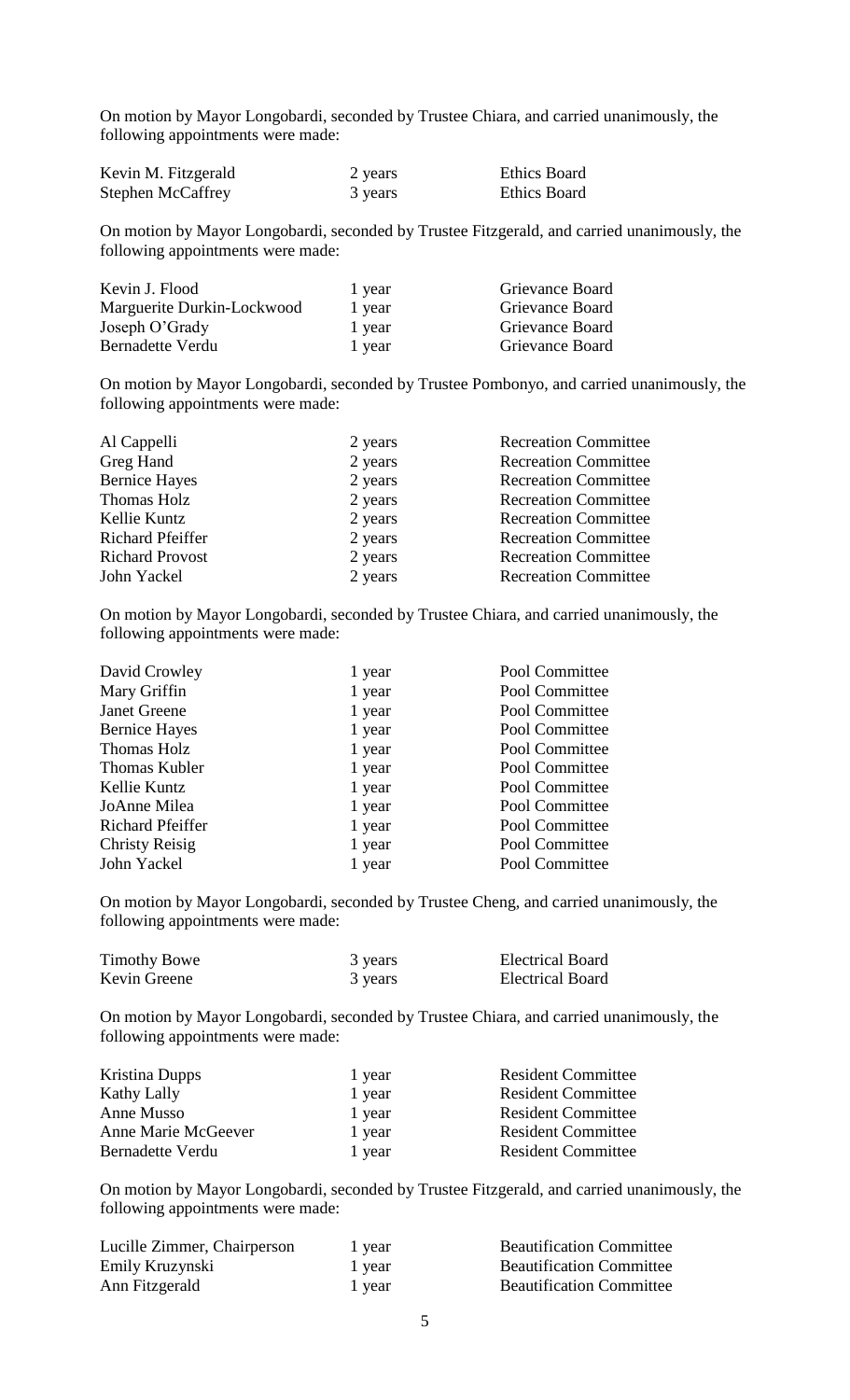On motion by Mayor Longobardi, seconded by Trustee Chiara, and carried unanimously, the following appointments were made:

| Kevin M. Fitzgerald      | 2 years | <b>Ethics Board</b> |
|--------------------------|---------|---------------------|
| <b>Stephen McCaffrey</b> | 3 years | <b>Ethics Board</b> |

On motion by Mayor Longobardi, seconded by Trustee Fitzgerald, and carried unanimously, the following appointments were made:

| Kevin J. Flood             | 1 year | Grievance Board |
|----------------------------|--------|-----------------|
| Marguerite Durkin-Lockwood | 1 year | Grievance Board |
| Joseph O'Grady             | 1 year | Grievance Board |
| Bernadette Verdu           | 1 year | Grievance Board |

On motion by Mayor Longobardi, seconded by Trustee Pombonyo, and carried unanimously, the following appointments were made:

| Al Cappelli             | 2 years | <b>Recreation Committee</b> |
|-------------------------|---------|-----------------------------|
| Greg Hand               | 2 years | <b>Recreation Committee</b> |
| <b>Bernice Hayes</b>    | 2 years | <b>Recreation Committee</b> |
| Thomas Holz             | 2 years | <b>Recreation Committee</b> |
| Kellie Kuntz            | 2 years | <b>Recreation Committee</b> |
| <b>Richard Pfeiffer</b> | 2 years | <b>Recreation Committee</b> |
| <b>Richard Provost</b>  | 2 years | <b>Recreation Committee</b> |
| John Yackel             | 2 years | <b>Recreation Committee</b> |
|                         |         |                             |

On motion by Mayor Longobardi, seconded by Trustee Chiara, and carried unanimously, the following appointments were made:

| 1 year | Pool Committee |
|--------|----------------|
| 1 year | Pool Committee |
| 1 year | Pool Committee |
| 1 year | Pool Committee |
| 1 year | Pool Committee |
| 1 year | Pool Committee |
| 1 year | Pool Committee |
| 1 year | Pool Committee |
| 1 year | Pool Committee |
| 1 year | Pool Committee |
| 1 year | Pool Committee |
|        |                |

On motion by Mayor Longobardi, seconded by Trustee Cheng, and carried unanimously, the following appointments were made:

| <b>Timothy Bowe</b> | 3 years | <b>Electrical Board</b> |
|---------------------|---------|-------------------------|
| Kevin Greene        | 3 years | <b>Electrical Board</b> |

On motion by Mayor Longobardi, seconded by Trustee Chiara, and carried unanimously, the following appointments were made:

| 1 year | <b>Resident Committee</b> |
|--------|---------------------------|
| 1 year | <b>Resident Committee</b> |
| 1 year | <b>Resident Committee</b> |
| 1 year | <b>Resident Committee</b> |
| 1 year | <b>Resident Committee</b> |
|        |                           |

On motion by Mayor Longobardi, seconded by Trustee Fitzgerald, and carried unanimously, the following appointments were made:

| Lucille Zimmer, Chairperson | 1 year | <b>Beautification Committee</b> |
|-----------------------------|--------|---------------------------------|
| Emily Kruzynski             | 1 year | <b>Beautification Committee</b> |
| Ann Fitzgerald              | 1 year | <b>Beautification Committee</b> |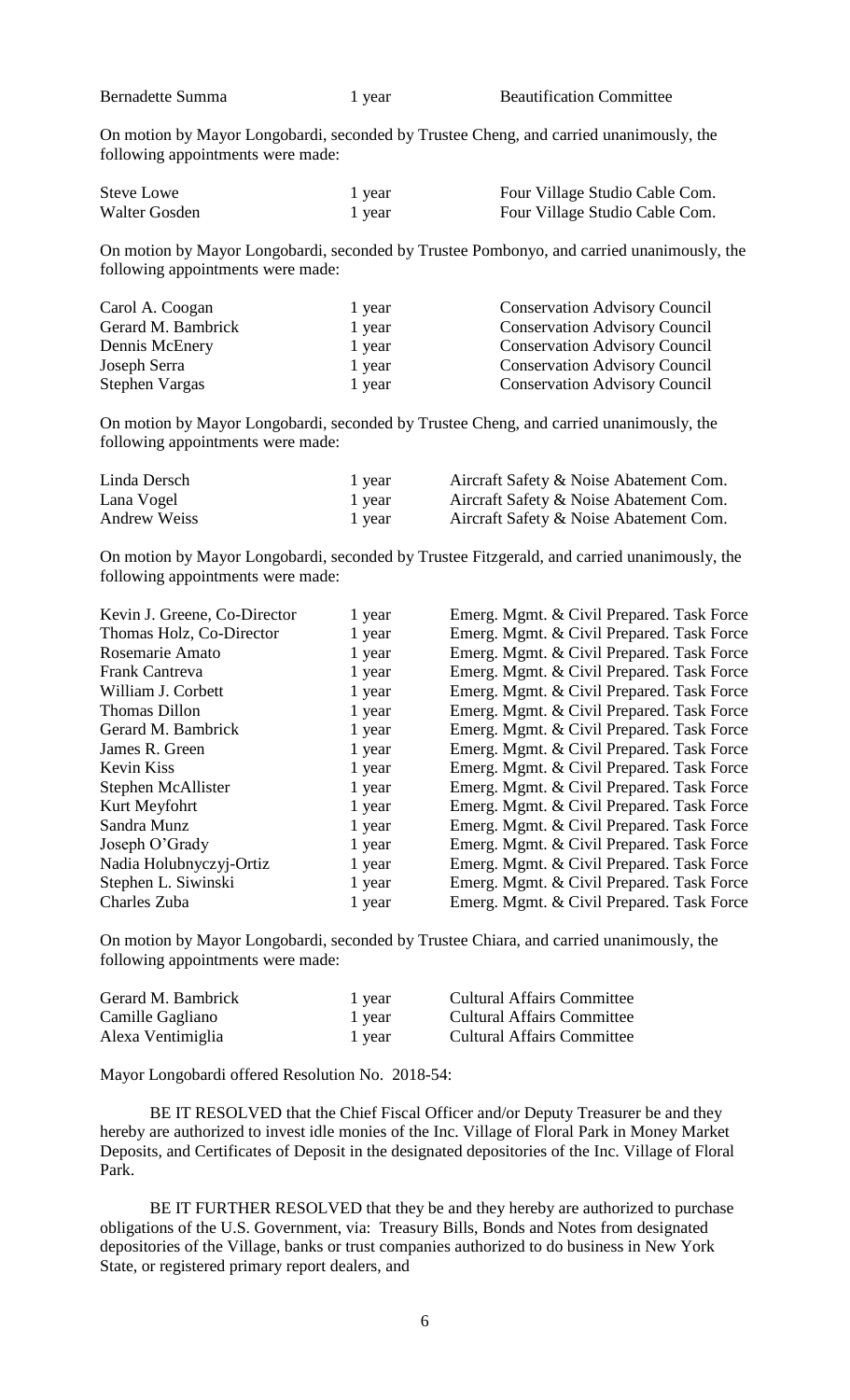| <b>Bernadette Summa</b> |  |
|-------------------------|--|
|-------------------------|--|

On motion by Mayor Longobardi, seconded by Trustee Cheng, and carried unanimously, the following appointments were made:

| Steve Lowe    | 1 year | Four Village Studio Cable Com. |
|---------------|--------|--------------------------------|
| Walter Gosden | 1 year | Four Village Studio Cable Com. |

On motion by Mayor Longobardi, seconded by Trustee Pombonyo, and carried unanimously, the following appointments were made:

| Carol A. Coogan    | 1 year | <b>Conservation Advisory Council</b> |
|--------------------|--------|--------------------------------------|
| Gerard M. Bambrick | 1 year | <b>Conservation Advisory Council</b> |
| Dennis McEnery     | 1 year | <b>Conservation Advisory Council</b> |
| Joseph Serra       | 1 year | <b>Conservation Advisory Council</b> |
| Stephen Vargas     | 1 year | <b>Conservation Advisory Council</b> |

On motion by Mayor Longobardi, seconded by Trustee Cheng, and carried unanimously, the following appointments were made:

| Linda Dersch | 1 year | Aircraft Safety & Noise Abatement Com. |
|--------------|--------|----------------------------------------|
| Lana Vogel   | 1 year | Aircraft Safety & Noise Abatement Com. |
| Andrew Weiss | 1 year | Aircraft Safety & Noise Abatement Com. |

On motion by Mayor Longobardi, seconded by Trustee Fitzgerald, and carried unanimously, the following appointments were made:

| Kevin J. Greene, Co-Director | 1 year | Emerg. Mgmt. & Civil Prepared. Task Force |
|------------------------------|--------|-------------------------------------------|
| Thomas Holz, Co-Director     | 1 year | Emerg. Mgmt. & Civil Prepared. Task Force |
| Rosemarie Amato              | 1 year | Emerg. Mgmt. & Civil Prepared. Task Force |
| Frank Cantreva               | 1 year | Emerg. Mgmt. & Civil Prepared. Task Force |
| William J. Corbett           | 1 year | Emerg. Mgmt. & Civil Prepared. Task Force |
| Thomas Dillon                | 1 year | Emerg. Mgmt. & Civil Prepared. Task Force |
| Gerard M. Bambrick           | 1 year | Emerg. Mgmt. & Civil Prepared. Task Force |
| James R. Green               | 1 year | Emerg. Mgmt. & Civil Prepared. Task Force |
| Kevin Kiss                   | 1 year | Emerg. Mgmt. & Civil Prepared. Task Force |
| Stephen McAllister           | 1 year | Emerg. Mgmt. & Civil Prepared. Task Force |
| Kurt Meyfohrt                | 1 year | Emerg. Mgmt. & Civil Prepared. Task Force |
| Sandra Munz                  | 1 year | Emerg. Mgmt. & Civil Prepared. Task Force |
| Joseph O'Grady               | 1 year | Emerg. Mgmt. & Civil Prepared. Task Force |
| Nadia Holubnyczyj-Ortiz      | 1 year | Emerg. Mgmt. & Civil Prepared. Task Force |
| Stephen L. Siwinski          | 1 year | Emerg. Mgmt. & Civil Prepared. Task Force |
| Charles Zuba                 | 1 year | Emerg. Mgmt. & Civil Prepared. Task Force |

On motion by Mayor Longobardi, seconded by Trustee Chiara, and carried unanimously, the following appointments were made:

| Gerard M. Bambrick | 1 year | <b>Cultural Affairs Committee</b> |
|--------------------|--------|-----------------------------------|
| Camille Gagliano   | 1 year | <b>Cultural Affairs Committee</b> |
| Alexa Ventimiglia  | 1 year | <b>Cultural Affairs Committee</b> |

Mayor Longobardi offered Resolution No. 2018-54:

BE IT RESOLVED that the Chief Fiscal Officer and/or Deputy Treasurer be and they hereby are authorized to invest idle monies of the Inc. Village of Floral Park in Money Market Deposits, and Certificates of Deposit in the designated depositories of the Inc. Village of Floral Park.

BE IT FURTHER RESOLVED that they be and they hereby are authorized to purchase obligations of the U.S. Government, via: Treasury Bills, Bonds and Notes from designated depositories of the Village, banks or trust companies authorized to do business in New York State, or registered primary report dealers, and